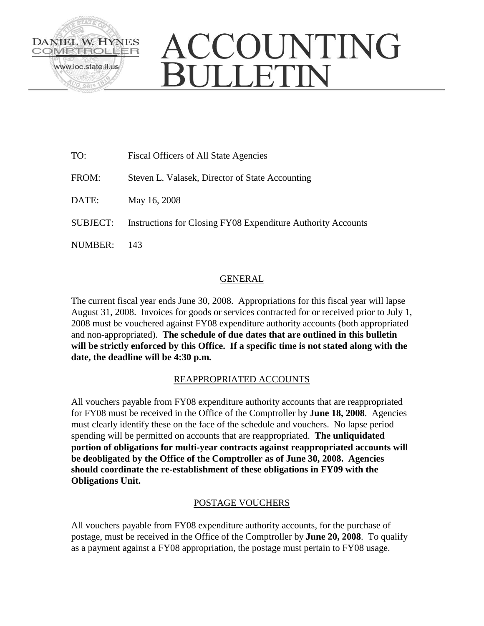

# ACCOUNTING **JULLETIN**

| TO:             | Fiscal Officers of All State Agencies                        |
|-----------------|--------------------------------------------------------------|
| FROM:           | Steven L. Valasek, Director of State Accounting              |
| DATE:           | May 16, 2008                                                 |
| <b>SUBJECT:</b> | Instructions for Closing FY08 Expenditure Authority Accounts |
| NUMBER:         | 143                                                          |

## GENERAL

The current fiscal year ends June 30, 2008. Appropriations for this fiscal year will lapse August 31, 2008. Invoices for goods or services contracted for or received prior to July 1, 2008 must be vouchered against FY08 expenditure authority accounts (both appropriated and non-appropriated). **The schedule of due dates that are outlined in this bulletin will be strictly enforced by this Office. If a specific time is not stated along with the date, the deadline will be 4:30 p.m.**

## REAPPROPRIATED ACCOUNTS

All vouchers payable from FY08 expenditure authority accounts that are reappropriated for FY08 must be received in the Office of the Comptroller by **June 18, 2008**. Agencies must clearly identify these on the face of the schedule and vouchers. No lapse period spending will be permitted on accounts that are reappropriated. **The unliquidated portion of obligations for multi-year contracts against reappropriated accounts will be deobligated by the Office of the Comptroller as of June 30, 2008. Agencies should coordinate the re-establishment of these obligations in FY09 with the Obligations Unit.** 

## POSTAGE VOUCHERS

All vouchers payable from FY08 expenditure authority accounts, for the purchase of postage, must be received in the Office of the Comptroller by **June 20, 2008**. To qualify as a payment against a FY08 appropriation, the postage must pertain to FY08 usage.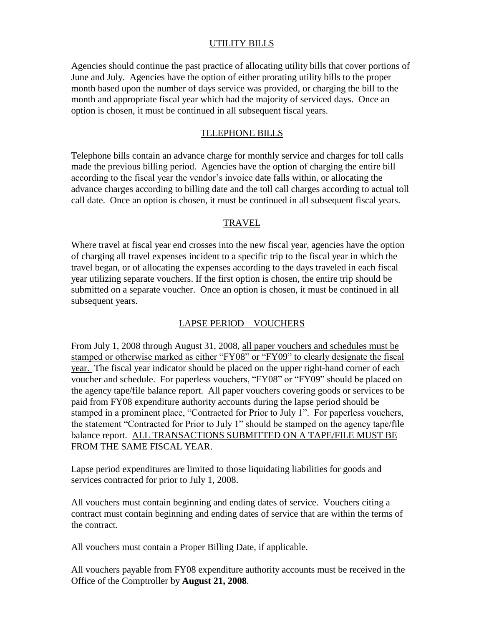#### UTILITY BILLS

Agencies should continue the past practice of allocating utility bills that cover portions of June and July. Agencies have the option of either prorating utility bills to the proper month based upon the number of days service was provided, or charging the bill to the month and appropriate fiscal year which had the majority of serviced days. Once an option is chosen, it must be continued in all subsequent fiscal years.

#### TELEPHONE BILLS

Telephone bills contain an advance charge for monthly service and charges for toll calls made the previous billing period. Agencies have the option of charging the entire bill according to the fiscal year the vendor's invoice date falls within, or allocating the advance charges according to billing date and the toll call charges according to actual toll call date. Once an option is chosen, it must be continued in all subsequent fiscal years.

#### TRAVEL

Where travel at fiscal year end crosses into the new fiscal year, agencies have the option of charging all travel expenses incident to a specific trip to the fiscal year in which the travel began, or of allocating the expenses according to the days traveled in each fiscal year utilizing separate vouchers. If the first option is chosen, the entire trip should be submitted on a separate voucher. Once an option is chosen, it must be continued in all subsequent years.

### LAPSE PERIOD – VOUCHERS

From July 1, 2008 through August 31, 2008, all paper vouchers and schedules must be stamped or otherwise marked as either "FY08" or "FY09" to clearly designate the fiscal year. The fiscal year indicator should be placed on the upper right-hand corner of each voucher and schedule. For paperless vouchers, "FY08" or "FY09" should be placed on the agency tape/file balance report. All paper vouchers covering goods or services to be paid from FY08 expenditure authority accounts during the lapse period should be stamped in a prominent place, "Contracted for Prior to July 1". For paperless vouchers, the statement "Contracted for Prior to July 1" should be stamped on the agency tape/file balance report. ALL TRANSACTIONS SUBMITTED ON A TAPE/FILE MUST BE FROM THE SAME FISCAL YEAR.

Lapse period expenditures are limited to those liquidating liabilities for goods and services contracted for prior to July 1, 2008.

All vouchers must contain beginning and ending dates of service. Vouchers citing a contract must contain beginning and ending dates of service that are within the terms of the contract.

All vouchers must contain a Proper Billing Date, if applicable.

All vouchers payable from FY08 expenditure authority accounts must be received in the Office of the Comptroller by **August 21, 2008**.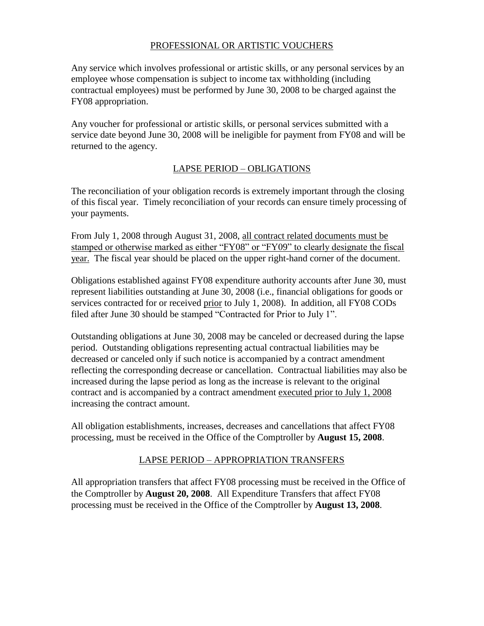## PROFESSIONAL OR ARTISTIC VOUCHERS

Any service which involves professional or artistic skills, or any personal services by an employee whose compensation is subject to income tax withholding (including contractual employees) must be performed by June 30, 2008 to be charged against the FY08 appropriation.

Any voucher for professional or artistic skills, or personal services submitted with a service date beyond June 30, 2008 will be ineligible for payment from FY08 and will be returned to the agency.

#### LAPSE PERIOD – OBLIGATIONS

The reconciliation of your obligation records is extremely important through the closing of this fiscal year. Timely reconciliation of your records can ensure timely processing of your payments.

From July 1, 2008 through August 31, 2008, all contract related documents must be stamped or otherwise marked as either "FY08" or "FY09" to clearly designate the fiscal year. The fiscal year should be placed on the upper right-hand corner of the document.

Obligations established against FY08 expenditure authority accounts after June 30, must represent liabilities outstanding at June 30, 2008 (i.e., financial obligations for goods or services contracted for or received prior to July 1, 2008). In addition, all FY08 CODs filed after June 30 should be stamped "Contracted for Prior to July 1".

Outstanding obligations at June 30, 2008 may be canceled or decreased during the lapse period. Outstanding obligations representing actual contractual liabilities may be decreased or canceled only if such notice is accompanied by a contract amendment reflecting the corresponding decrease or cancellation. Contractual liabilities may also be increased during the lapse period as long as the increase is relevant to the original contract and is accompanied by a contract amendment executed prior to July 1, 2008 increasing the contract amount.

All obligation establishments, increases, decreases and cancellations that affect FY08 processing, must be received in the Office of the Comptroller by **August 15, 2008**.

### LAPSE PERIOD – APPROPRIATION TRANSFERS

All appropriation transfers that affect FY08 processing must be received in the Office of the Comptroller by **August 20, 2008**. All Expenditure Transfers that affect FY08 processing must be received in the Office of the Comptroller by **August 13, 2008**.